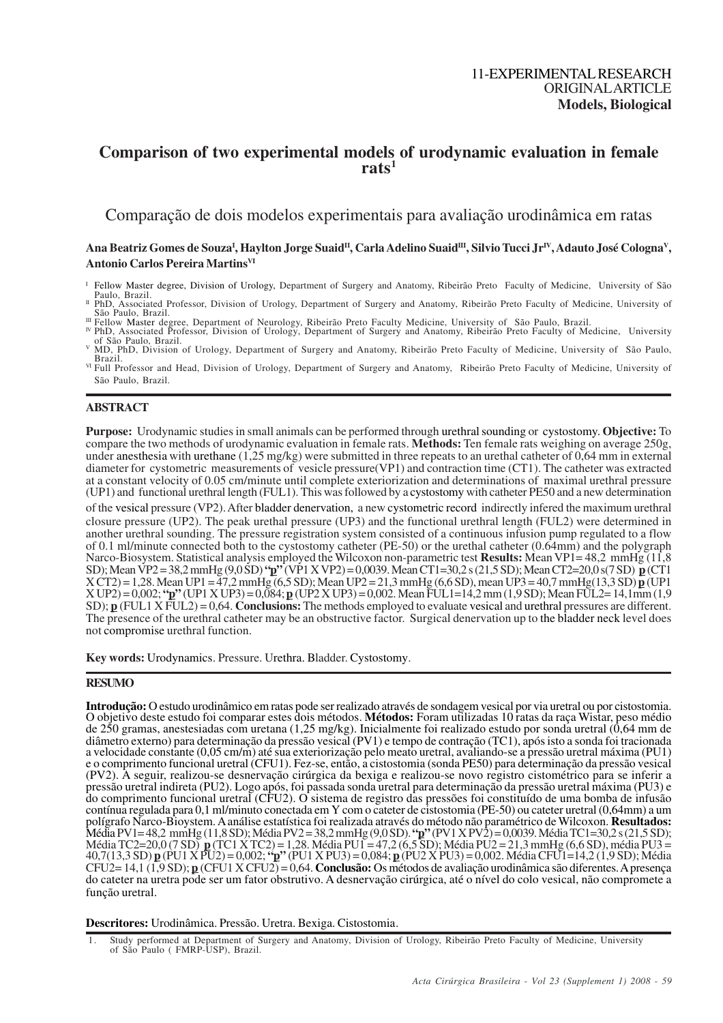# **Comparison of two experimental models of urodynamic evaluation in female rats<sup>1</sup>**

Comparação de dois modelos experimentais para avaliação urodinâmica em ratas

# $A$ na Beatriz Gomes de Souza<sup>ı</sup>, Haylton Jorge Suaid<sup>ıı</sup>, Carla Adelino Suaid<sup>ııı</sup>, Silvio Tucci Jr<sup>ıv</sup>, Adauto José Cologna<sup>v</sup>, **Antonio Carlos Pereira MartinsVI**

<sup>I</sup> Fellow Master degree, Division of Urology, Department of Surgery and Anatomy, Ribeirão Preto Faculty of Medicine, University of São Paulo, Brazil.<br>II PhD, Associated Professor, Division of Urology, Department of Surgery and Anatomy, Ribeirão Preto Faculty of Medicine, University of

<sup>m</sup> Fellow Master degree, Department of Neurology, Ribeirão Preto Faculty Medicine, University of São Paulo, Brazil.<br><sup>™</sup> PhD, Associated Professor, Division of Urology, Department of Surgery and Anatomy, Ribeirão Preto Fa

# **ABSTRACT**

**Purpose:** Urodynamic studies in small animals can be performed through urethralsounding or cystostomy. **Objective:** To compare the two methods of urodynamic evaluation in female rats. **Methods:** Ten female rats weighing on average 250g, under anesthesia with urethane (1,25 mg/kg) were submitted in three repeats to an urethal catheter of 0,64 mm in external diameter for cystometric measurements of vesicle pressure(VP1) and contraction time (CT1). The catheter was extracted at a constant velocity of 0.05 cm/minute until complete exteriorization and determinations of maximal urethral pressure (UP1) and functional urethral length (FUL1). This was followed by a cystostomy with catheter PE50 and a new determination

of the vesical pressure (VP2). After bladder denervation, a new cystometric record indirectly infered the maximum urethral closure pressure (UP2). The peak urethal pressure (UP3) and the functional urethral length (FUL2) were determined in another urethral sounding. The pressure registration system consisted of a continuous infusion pump regulated to a flow of 0.1 ml/minute connected both to the cystostomy catheter (PE-50) or the urethal catheter (0.64mm) and the polygraph Narco-Biosystem. Statistical analysis employed the Wilcoxon non-parametric test **Results:** Mean VP1= 48,2 mmHg (11,8 SD); Mean VP2 = 38,2 mmHg (9,0 SD) **"p"** (VP1 X VP2) = 0,0039. Mean CT1=30,2 s (21,5 SD); Mean CT2=20,0 s(7 SD) **p** (CT1 X CT2) = 1,28. Mean UP1 = 47,2 mmHg (6,5 SD); Mean UP2 = 21,3 mmHg (6,6 SD), mean UP3 = 40,7 mmHg(13,3 SD) **p** (UP1 X UP2) = 0,002; **"p"** (UP1 X UP3) = 0,084; **p** (UP2 X UP3) = 0,002. Mean FUL1=14,2 mm (1,9 SD); Mean FUL2= 14,1mm (1,9 SD); **p** (FUL1 X FUL2) = 0,64. **Conclusions:** The methods employed to evaluate vesical and urethral pressures are different. The presence of the urethral catheter may be an obstructive factor. Surgical denervation up to the bladder neck level does not compromise urethral function.

**Key words:** Urodynamics. Pressure. Urethra. Bladder. Cystostomy.

## **RESUMO**

**Introdução:** O estudo urodinâmico em ratas pode ser realizado através de sondagem vesical por via uretral ou por cistostomia. O objetivo deste estudo foi comparar estes dois métodos. **Métodos:** Foram utilizadas 10 ratas da raça Wistar, peso médio de 250 gramas, anestesiadas com uretana (1,25 mg/kg). Inicialmente foi realizado estudo por sonda uretral (0,64 mm de diâmetro externo) para determinação da pressão vesical (PV1) e tempo de contração (TC1), após isto a sonda foi tracionada a velocidade constante (0,05 cm/m) até sua exteriorização pelo meato uretral, avaliando-se a pressão uretral máxima (PU1) e o comprimento funcional uretral (CFU1). Fez-se, então, a cistostomia (sonda PE50) para determinação da pressão vesical (PV2). A seguir, realizou-se desnervação cirúrgica da bexiga e realizou-se novo registro cistométrico para se inferir a pressão uretral indireta (PU2). Logo após, foi passada sonda uretral para determinação da pressão uretral máxima (PU3) e do comprimento funcional uretral (CFU2). O sistema de registro das pressões foi constituído de uma bomba de infusão contínua regulada para 0,1 ml/minuto conectada em Y com o cateter de cistostomia (PE-50) ou cateter uretral (0,64mm) a um polígrafo Narco-Bioystem. A análise estatística foi realizada através do método não paramétrico de Wilcoxon. **Resultados:** MédiaPV1= 48,2 mmHg (11,8 SD); Média PV2 = 38,2 mmHg (9,0 SD). **"p"** (PV1 X PV2) = 0,0039. Média TC1=30,2 s (21,5 SD); Média TC2=20,0 (7 SD) **p** (TC1 X TC2) = 1,28. Média PU1 = 47,2 (6,5 SD); Média PU2 = 21,3 mmHg (6,6 SD), média PU3 = 40,7(13,3 SD) **p** (PU1 X PU2) = 0,002; **"p"** (PU1 X PU3) = 0,084; **p** (PU2 X PU3) = 0,002. Média CFU1=14,2 (1,9 SD); Média CFU2= 14,1 (1,9 SD); **p** (CFU1 X CFU2) = 0,64. **Conclusão:** Os métodos de avaliação urodinâmica são diferentes. A presença do cateter na uretra pode ser um fator obstrutivo. A desnervação cirúrgica, até o nível do colo vesical, não compromete a função uretral.

**Descritores:** Urodinâmica. Pressão. Uretra. Bexiga. Cistostomia.

São Paulo, Brazil.

São Paulo, Brazil. <sup>V</sup> MD, PhD, Division of Urology, Department of Surgery and Anatomy, Ribeirão Preto Faculty of Medicine, University of São Paulo, Brazil.

VI Full Professor and Head, Division of Urology, Department of Surgery and Anatomy, Ribeirão Preto Faculty of Medicine, University of São Paulo, Brazil.

<sup>1.</sup> Study performed at Department of Surgery and Anatomy, Division of Urology, Ribeirão Preto Faculty of Medicine, University of São Paulo ( FMRP-USP), Brazil.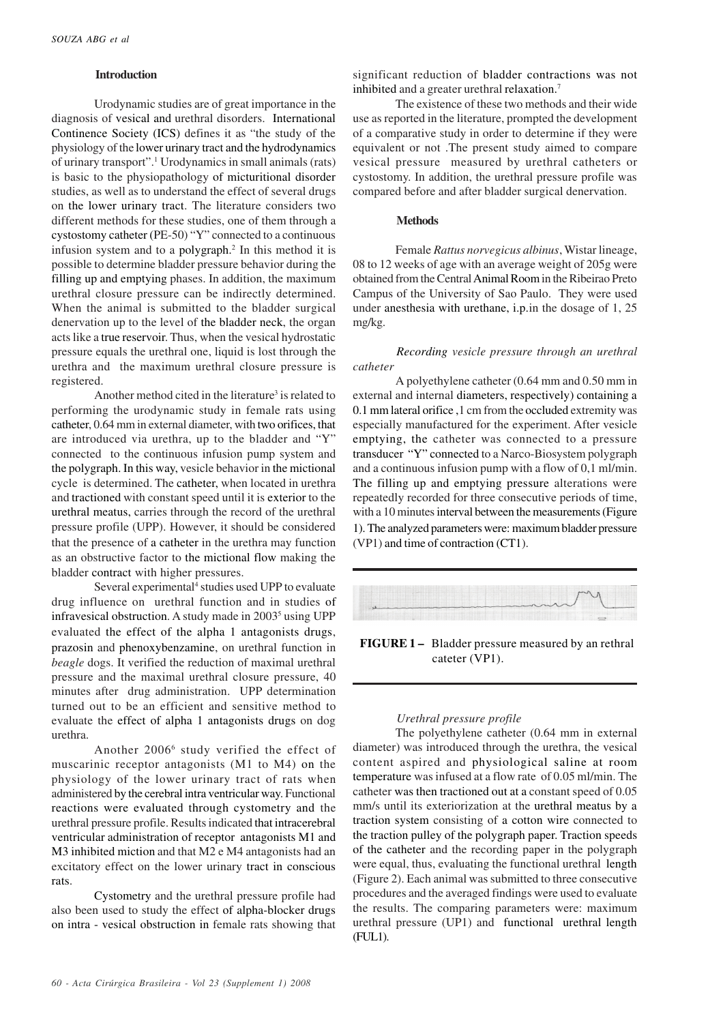## **Introduction**

Urodynamic studies are of great importance in the diagnosis of vesical and urethral disorders. International Continence Society (ICS) defines it as "the study of the physiology of the lower urinary tract and the hydrodynamics of urinary transport".<sup>1</sup> Urodynamics in small animals (rats) is basic to the physiopathology of micturitional disorder studies, as well as to understand the effect of several drugs on the lower urinary tract. The literature considers two different methods for these studies, one of them through a cystostomy catheter (PE-50) "Y" connected to a continuous infusion system and to a polygraph.<sup>2</sup> In this method it is possible to determine bladder pressure behavior during the filling up and emptying phases. In addition, the maximum urethral closure pressure can be indirectly determined. When the animal is submitted to the bladder surgical denervation up to the level of the bladder neck, the organ acts like a true reservoir. Thus, when the vesical hydrostatic pressure equals the urethral one, liquid is lost through the urethra and the maximum urethral closure pressure is registered.

Another method cited in the literature<sup>3</sup> is related to performing the urodynamic study in female rats using catheter, 0.64 mm in external diameter, with two orifices, that are introduced via urethra, up to the bladder and "Y" connected to the continuous infusion pump system and the polygraph. In this way, vesicle behavior in the mictional cycle is determined. The catheter, when located in urethra and tractioned with constant speed until it is exterior to the urethral meatus, carries through the record of the urethral pressure profile (UPP). However, it should be considered that the presence of a catheter in the urethra may function as an obstructive factor to the mictional flow making the bladder contract with higher pressures.

Several experimental<sup>4</sup> studies used UPP to evaluate drug influence on urethral function and in studies of infravesical obstruction. A study made in 2003<sup>5</sup> using UPP evaluated the effect of the alpha 1 antagonists drugs, prazosin and phenoxybenzamine, on urethral function in *beagle* dogs. It verified the reduction of maximal urethral pressure and the maximal urethral closure pressure, 40 minutes after drug administration. UPP determination turned out to be an efficient and sensitive method to evaluate the effect of alpha 1 antagonists drugs on dog urethra.

Another 2006<sup>6</sup> study verified the effect of muscarinic receptor antagonists (M1 to M4) on the physiology of the lower urinary tract of rats when administered by the cerebral intra ventricular way. Functional reactions were evaluated through cystometry and the urethral pressure profile. Results indicated that intracerebral ventricular administration of receptor antagonists M1 and M3 inhibited miction and that M2 e M4 antagonists had an excitatory effect on the lower urinary tract in conscious rats.

Cystometry and the urethral pressure profile had also been used to study the effect of alpha-blocker drugs on intra - vesical obstruction in female rats showing that

significant reduction of bladder contractions was not inhibited and a greater urethral relaxation.<sup>7</sup>

The existence of these two methods and their wide use as reported in the literature, prompted the development of a comparative study in order to determine if they were equivalent or not .The present study aimed to compare vesical pressure measured by urethral catheters or cystostomy. In addition, the urethral pressure profile was compared before and after bladder surgical denervation.

#### **Methods**

Female *Rattus norvegicus albinus*, Wistar lineage, 08 to 12 weeks of age with an average weight of 205g were obtained from the Central Animal Room in the Ribeirao Preto Campus of the University of Sao Paulo. They were used under anesthesia with urethane, i.p.in the dosage of 1, 25 mg/kg.

*Recording vesicle pressure through an urethral catheter*

A polyethylene catheter (0.64 mm and 0.50 mm in external and internal diameters, respectively) containing a 0.1 mm lateral orifice ,1 cm from the occluded extremity was especially manufactured for the experiment. After vesicle emptying, the catheter was connected to a pressure transducer "Y" connected to a Narco-Biosystem polygraph and a continuous infusion pump with a flow of 0,1 ml/min. The filling up and emptying pressure alterations were repeatedly recorded for three consecutive periods of time, with a 10 minutes interval between the measurements (Figure 1). The analyzed parameters were: maximum bladder pressure (VP1) and time of contraction (CT1).



**FIGURE 1 –** Bladder pressure measured by an rethral cateter (VP1).

## *Urethral pressure profile*

The polyethylene catheter (0.64 mm in external diameter) was introduced through the urethra, the vesical content aspired and physiological saline at room temperature was infused at a flow rate of 0.05 ml/min. The catheter was then tractioned out at a constant speed of 0.05 mm/s until its exteriorization at the urethral meatus by a traction system consisting of a cotton wire connected to the traction pulley of the polygraph paper. Traction speeds of the catheter and the recording paper in the polygraph were equal, thus, evaluating the functional urethral length (Figure 2). Each animal was submitted to three consecutive procedures and the averaged findings were used to evaluate the results. The comparing parameters were: maximum urethral pressure (UP1) and functional urethral length (FUL1).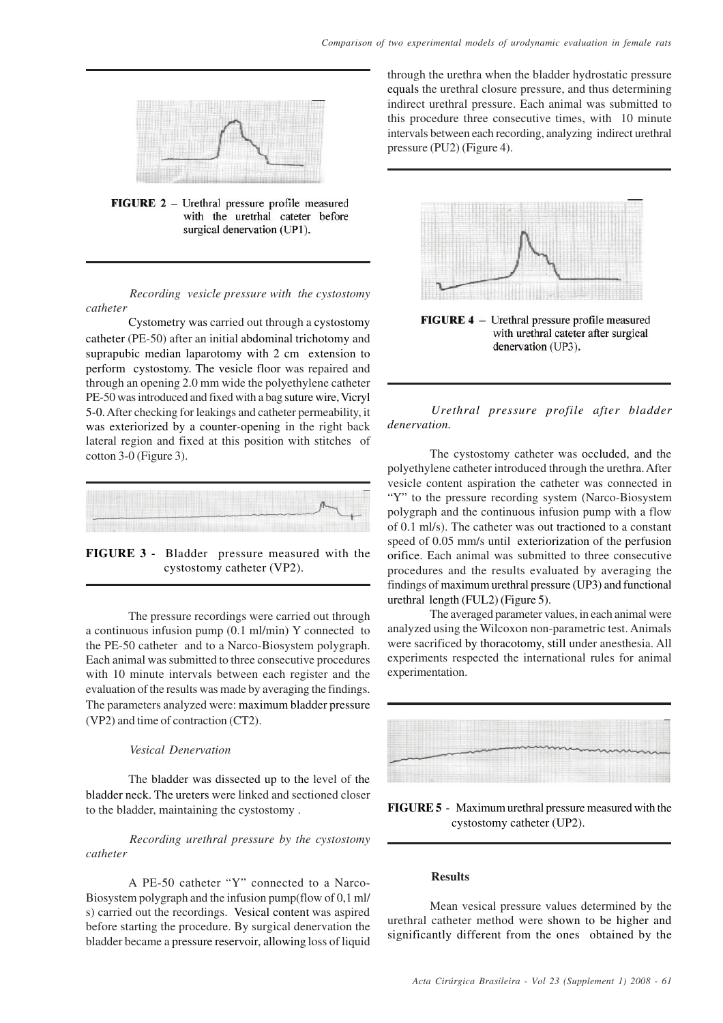

FIGURE 2 - Urethral pressure profile measured with the uretrhal cateter before surgical denervation (UP1).

*Recording vesicle pressure with the cystostomy catheter*

Cystometry was carried out through a cystostomy catheter (PE-50) after an initial abdominal trichotomy and suprapubic median laparotomy with 2 cm extension to perform cystostomy. The vesicle floor was repaired and through an opening 2.0 mm wide the polyethylene catheter PE-50 was introduced and fixed with a bag suture wire, Vicryl 5-0.After checking for leakings and catheter permeability, it was exteriorized by a counter-opening in the right back lateral region and fixed at this position with stitches of cotton 3-0 (Figure 3).



**FIGURE 3 -** Bladder pressure measured with the cystostomy catheter (VP2).

The pressure recordings were carried out through a continuous infusion pump (0.1 ml/min) Y connected to the PE-50 catheter and to a Narco-Biosystem polygraph. Each animal was submitted to three consecutive procedures with 10 minute intervals between each register and the evaluation of the results was made by averaging the findings. The parameters analyzed were: maximum bladder pressure (VP2) and time of contraction (CT2).

## *Vesical Denervation*

The bladder was dissected up to the level of the bladder neck. The ureters were linked and sectioned closer to the bladder, maintaining the cystostomy .

## *Recording urethral pressure by the cystostomy catheter*

A PE-50 catheter "Y" connected to a Narco-Biosystem polygraph and the infusion pump(flow of 0,1 ml/ s) carried out the recordings. Vesical content was aspired before starting the procedure. By surgical denervation the bladder became a pressure reservoir, allowing loss of liquid

through the urethra when the bladder hydrostatic pressure equals the urethral closure pressure, and thus determining indirect urethral pressure. Each animal was submitted to this procedure three consecutive times, with 10 minute intervals between each recording, analyzing indirect urethral pressure (PU2) (Figure 4).



with urethral cateter after surgical denervation (UP3).

# *Urethral pressure profile after bladder denervation.*

The cystostomy catheter was occluded, and the polyethylene catheter introduced through the urethra. After vesicle content aspiration the catheter was connected in "Y" to the pressure recording system (Narco-Biosystem polygraph and the continuous infusion pump with a flow of 0.1 ml/s). The catheter was out tractioned to a constant speed of 0.05 mm/s until exteriorization of the perfusion orifice. Each animal was submitted to three consecutive procedures and the results evaluated by averaging the findings of maximum urethral pressure (UP3) and functional urethral length (FUL2) (Figure 5).

The averaged parameter values, in each animal were analyzed using the Wilcoxon non-parametric test. Animals were sacrificed by thoracotomy, still under anesthesia. All experiments respected the international rules for animal experimentation.



**FIGURE 5** - Maximum urethral pressure measured with the cystostomy catheter (UP2).

# **Results**

Mean vesical pressure values determined by the urethral catheter method were shown to be higher and significantly different from the ones obtained by the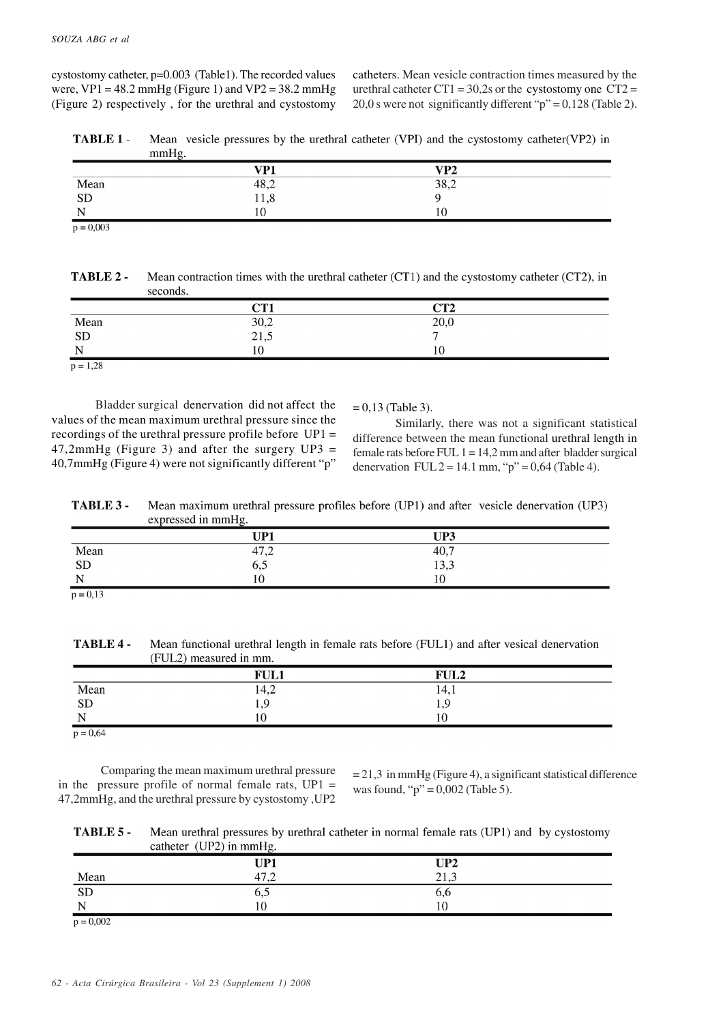cystostomy catheter, p=0.003 (Table1). The recorded values were,  $VP1 = 48.2$  mmHg (Figure 1) and  $VP2 = 38.2$  mmHg (Figure 2) respectively , for the urethral and cystostomy

catheters. Mean vesicle contraction times measured by the urethral catheter CT1 =  $30.2$ s or the cystostomy one CT2 = 20,0 s were not significantly different " $p$ " = 0,128 (Table 2).

TABLE 1-Mean vesicle pressures by the urethral catheter (VPI) and the cystostomy catheter (VP2) in mmHg.

|             | VP1          | VP <sub>2</sub> |  |
|-------------|--------------|-----------------|--|
| Mean<br>SD  |              | 38,2            |  |
|             | 48,2<br>11,8 |                 |  |
| N<br>.,     | 10           | 10              |  |
| $p = 0,003$ |              |                 |  |

| TABLE 2 - | Mean contraction times with the urethral catheter (CT1) and the cystostomy catheter (CT2), in |
|-----------|-----------------------------------------------------------------------------------------------|
|           | seconds.                                                                                      |

|            | CT1              | CT <sub>2</sub> |  |
|------------|------------------|-----------------|--|
|            |                  | 20,0            |  |
| Mean<br>SD | $30,2$<br>$21,5$ | $\mathbf{r}$    |  |
| <b>NT</b>  | 10               | 10              |  |
| $p = 1,28$ |                  |                 |  |

Bladder surgical denervation did not affect the values of the mean maximum urethral pressure since the recordings of the urethral pressure profile before UP1 =  $47,2$ mmHg (Figure 3) and after the surgery UP3 = 40,7mmHg (Figure 4) were not significantly different "p"

 $= 0.13$  (Table 3).

Similarly, there was not a significant statistical difference between the mean functional urethral length in female rats before FUL  $1 = 14.2$  mm and after bladder surgical denervation FUL  $2 = 14.1$  mm, "p" = 0,64 (Table 4).

Mean maximum urethral pressure profiles before (UP1) and after vesicle denervation (UP3) TABLE 3 expressed in mmHg.

|               | UP1          | UP3  |  |
|---------------|--------------|------|--|
| Mean<br>SD    | 47,2         | 40,7 |  |
|               | $_{\rm o,5}$ | 13,3 |  |
| N             | $10^{-1}$    | 10   |  |
| $\sim$ $\sim$ |              |      |  |

 $p = 0.13$ 

Mean functional urethral length in female rats before (FUL1) and after vesical denervation TABLE 4-(FUL2) measured in mm.

|                             | <b>FUL1</b> | <b>FUL2</b> |  |
|-----------------------------|-------------|-------------|--|
| Mean<br>SD                  | 14,2        | 14,1        |  |
|                             | エッフ         |             |  |
| $\sim$ $\sim$<br>╲          | 10          |             |  |
| $\sim$ $\sim$ $\sim$ $\sim$ |             |             |  |

 $p = 0,64$ 

Comparing the mean maximum urethral pressure in the pressure profile of normal female rats,  $UP1 =$ 47,2mmHg, and the urethral pressure by cystostomy ,UP2

 $= 21.3$  in mmHg (Figure 4), a significant statistical difference was found, " $p$ " = 0,002 (Table 5).

| TABLE 5 - | Mean urethral pressures by urethral catheter in normal female rats (UP1) and by cystostomy |
|-----------|--------------------------------------------------------------------------------------------|
|           | catheter $(UP2)$ in mmHg.                                                                  |

|             | caucu<br>$\sqrt{2}$ $\mu$ m numig. |                 |  |
|-------------|------------------------------------|-----------------|--|
|             | UP1                                | UP <sub>2</sub> |  |
| Mean        | 47,2                               | 21,3            |  |
| <b>SD</b>   | 6,0                                | 0,0             |  |
| N           | $\overline{0}$                     | 10              |  |
| $p = 0,002$ |                                    |                 |  |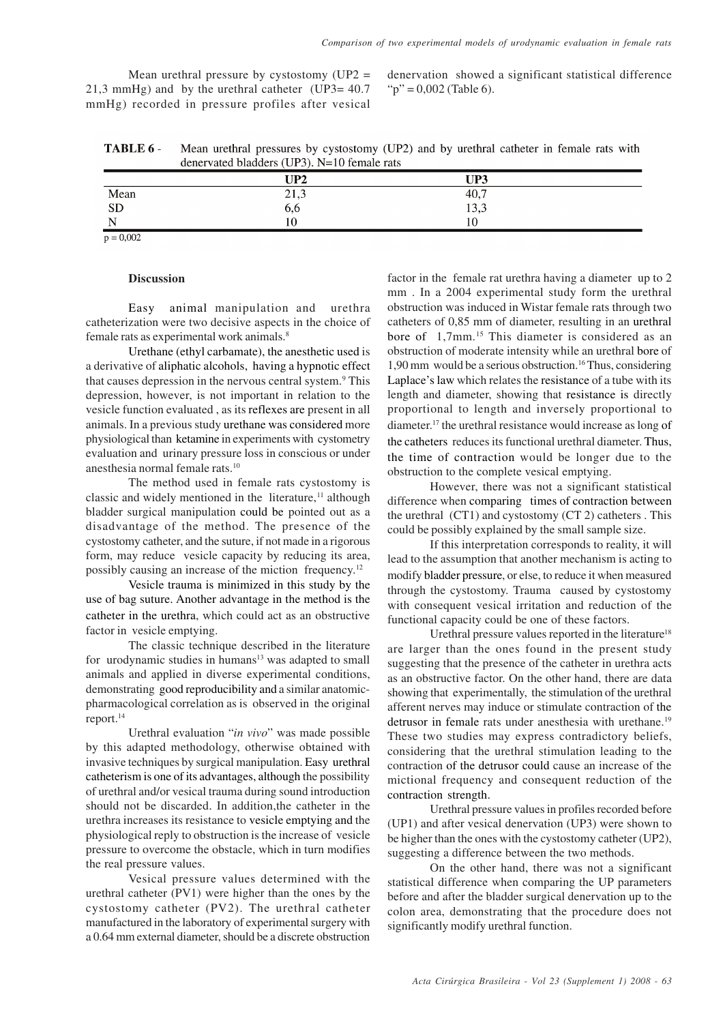Mean urethral pressure by cystostomy  $(UP2 =$ 21,3 mmHg) and by the urethral catheter (UP3= 40.7 mmHg) recorded in pressure profiles after vesical denervation showed a significant statistical difference " $p$ " = 0,002 (Table 6).

TABLE 6 -Mean urethral pressures by cystostomy (UP2) and by urethral catheter in female rats with denervated bladders (UP3), N=10 female rats

|      | UP2          | UP3  |  |
|------|--------------|------|--|
| Mean | า 12<br>21,3 | 40,7 |  |
| SD   | $_{\rm o,o}$ | 13,3 |  |
| N    | 10           | 10   |  |

 $p = 0,002$ 

## **Discussion**

Easy animal manipulation and urethra catheterization were two decisive aspects in the choice of female rats as experimental work animals.<sup>8</sup>

Urethane (ethyl carbamate), the anesthetic used is a derivative of aliphatic alcohols, having a hypnotic effect that causes depression in the nervous central system.<sup>9</sup> This depression, however, is not important in relation to the vesicle function evaluated , as its reflexes are present in all animals. In a previous study urethane was considered more physiological than ketamine in experiments with cystometry evaluation and urinary pressure loss in conscious or under anesthesia normal female rats.<sup>10</sup>

The method used in female rats cystostomy is classic and widely mentioned in the literature, $<sup>11</sup>$  although</sup> bladder surgical manipulation could be pointed out as a disadvantage of the method. The presence of the cystostomy catheter, and the suture, if not made in a rigorous form, may reduce vesicle capacity by reducing its area, possibly causing an increase of the miction frequency.<sup>12</sup>

Vesicle trauma is minimized in this study by the use of bag suture. Another advantage in the method is the catheter in the urethra, which could act as an obstructive factor in vesicle emptying.

The classic technique described in the literature for urodynamic studies in humans<sup>13</sup> was adapted to small animals and applied in diverse experimental conditions, demonstrating good reproducibility and a similar anatomicpharmacological correlation as is observed in the original report.<sup>14</sup>

Urethral evaluation "*in vivo*" was made possible by this adapted methodology, otherwise obtained with invasive techniques by surgical manipulation. Easy urethral catheterism is one of its advantages, although the possibility of urethral and/or vesical trauma during sound introduction should not be discarded. In addition,the catheter in the urethra increases its resistance to vesicle emptying and the physiological reply to obstruction is the increase of vesicle pressure to overcome the obstacle, which in turn modifies the real pressure values.

Vesical pressure values determined with the urethral catheter (PV1) were higher than the ones by the cystostomy catheter (PV2). The urethral catheter manufactured in the laboratory of experimental surgery with a 0.64 mm external diameter, should be a discrete obstruction

factor in the female rat urethra having a diameter up to 2 mm . In a 2004 experimental study form the urethral obstruction was induced in Wistar female rats through two catheters of 0,85 mm of diameter, resulting in an urethral bore of 1,7mm.<sup>15</sup> This diameter is considered as an obstruction of moderate intensity while an urethral bore of 1,90 mm would be a serious obstruction.<sup>16</sup> Thus, considering Laplace's law which relates the resistance of a tube with its length and diameter, showing that resistance is directly proportional to length and inversely proportional to diameter. <sup>17</sup> the urethral resistance would increase as long of the catheters reduces its functional urethral diameter. Thus, the time of contraction would be longer due to the obstruction to the complete vesical emptying.

However, there was not a significant statistical difference when comparing times of contraction between the urethral (CT1) and cystostomy (CT 2) catheters . This could be possibly explained by the small sample size.

If this interpretation corresponds to reality, it will lead to the assumption that another mechanism is acting to modify bladder pressure, or else, to reduce it when measured through the cystostomy. Trauma caused by cystostomy with consequent vesical irritation and reduction of the functional capacity could be one of these factors.

Urethral pressure values reported in the literature<sup>18</sup> are larger than the ones found in the present study suggesting that the presence of the catheter in urethra acts as an obstructive factor. On the other hand, there are data showing that experimentally, the stimulation of the urethral afferent nerves may induce or stimulate contraction of the detrusor in female rats under anesthesia with urethane.<sup>19</sup> These two studies may express contradictory beliefs, considering that the urethral stimulation leading to the contraction of the detrusor could cause an increase of the mictional frequency and consequent reduction of the contraction strength.

Urethral pressure values in profiles recorded before (UP1) and after vesical denervation (UP3) were shown to be higher than the ones with the cystostomy catheter (UP2), suggesting a difference between the two methods.

On the other hand, there was not a significant statistical difference when comparing the UP parameters before and after the bladder surgical denervation up to the colon area, demonstrating that the procedure does not significantly modify urethral function.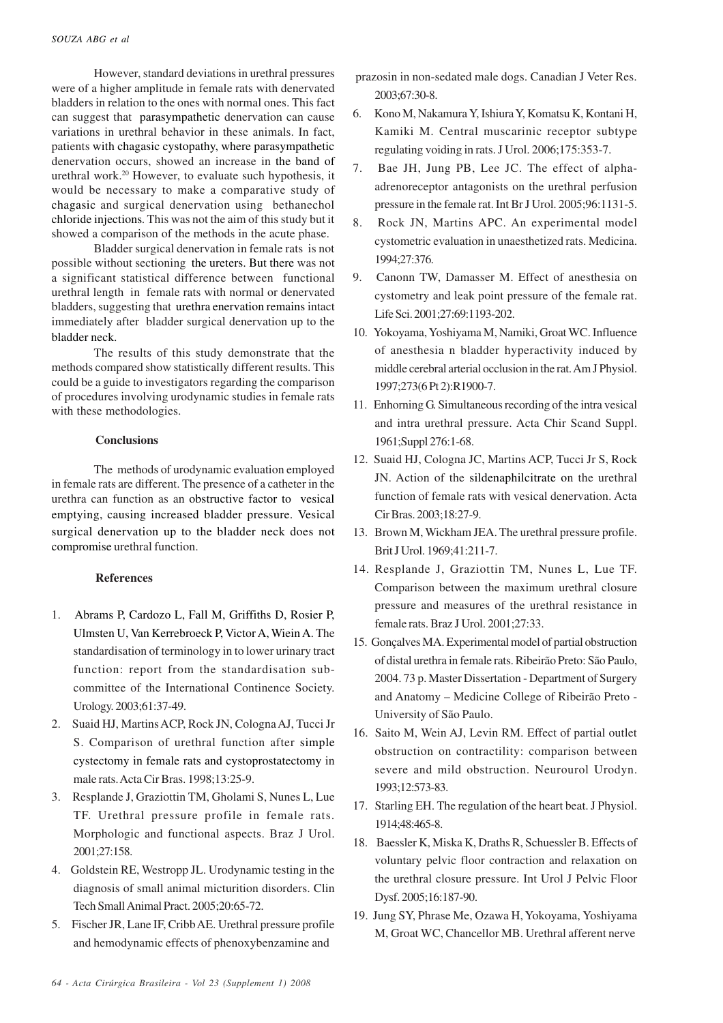However, standard deviations in urethral pressures were of a higher amplitude in female rats with denervated bladders in relation to the ones with normal ones. This fact can suggest that parasympathetic denervation can cause variations in urethral behavior in these animals. In fact, patients with chagasic cystopathy, where parasympathetic denervation occurs, showed an increase in the band of urethral work.<sup>20</sup> However, to evaluate such hypothesis, it would be necessary to make a comparative study of chagasic and surgical denervation using bethanechol chloride injections. This was not the aim of this study but it showed a comparison of the methods in the acute phase.

Bladder surgical denervation in female rats is not possible without sectioning the ureters. But there was not a significant statistical difference between functional urethral length in female rats with normal or denervated bladders, suggesting that urethra enervation remains intact immediately after bladder surgical denervation up to the bladder neck.

The results of this study demonstrate that the methods compared show statistically different results. This could be a guide to investigators regarding the comparison of procedures involving urodynamic studies in female rats with these methodologies.

# **Conclusions**

The methods of urodynamic evaluation employed in female rats are different. The presence of a catheter in the urethra can function as an obstructive factor to vesical emptying, causing increased bladder pressure. Vesical surgical denervation up to the bladder neck does not compromise urethral function.

## **References**

- 1. Abrams P, Cardozo L, Fall M, Griffiths D, Rosier P, Ulmsten U, Van Kerrebroeck P, Victor A, Wiein A. The standardisation of terminology in to lower urinary tract function: report from the standardisation subcommittee of the International Continence Society. Urology. 2003;61:37-49.
- 2. Suaid HJ, Martins ACP, Rock JN, Cologna AJ, Tucci Jr S. Comparison of urethral function after simple cystectomy in female rats and cystoprostatectomy in male rats. Acta Cir Bras. 1998;13:25-9.
- 3. Resplande J, Graziottin TM, Gholami S, Nunes L, Lue TF. Urethral pressure profile in female rats. Morphologic and functional aspects. Braz J Urol. 2001;27:158.
- 4. Goldstein RE, Westropp JL. Urodynamic testing in the diagnosis of small animal micturition disorders. Clin Tech Small Animal Pract. 2005;20:65-72.
- 5. Fischer JR, Lane IF, Cribb AE. Urethral pressure profile and hemodynamic effects of phenoxybenzamine and

 prazosin in non-sedated male dogs. Canadian J Veter Res. 2003;67:30-8.

- 6. Kono M, Nakamura Y, Ishiura Y, Komatsu K, Kontani H, Kamiki M. Central muscarinic receptor subtype regulating voiding in rats. J Urol. 2006;175:353-7.
- 7. Bae JH, Jung PB, Lee JC. The effect of alphaadrenoreceptor antagonists on the urethral perfusion pressure in the female rat. Int Br J Urol. 2005;96:1131-5.
- 8. Rock JN, Martins APC. An experimental model cystometric evaluation in unaesthetized rats. Medicina. 1994;27:376.
- 9. Canonn TW, Damasser M. Effect of anesthesia on cystometry and leak point pressure of the female rat. Life Sci. 2001;27:69:1193-202.
- 10. Yokoyama, Yoshiyama M, Namiki, Groat WC. Influence of anesthesia n bladder hyperactivity induced by middle cerebral arterial occlusion in the rat. Am J Physiol. 1997;273(6 Pt 2):R1900-7.
- 11. Enhorning G. Simultaneous recording of the intra vesical and intra urethral pressure. Acta Chir Scand Suppl. 1961;Suppl 276:1-68.
- 12. Suaid HJ, Cologna JC, Martins ACP, Tucci Jr S, Rock JN. Action of the sildenaphilcitrate on the urethral function of female rats with vesical denervation. Acta Cir Bras. 2003;18:27-9.
- 13. Brown M, Wickham JEA. The urethral pressure profile. Brit J Urol. 1969;41:211-7.
- 14. Resplande J, Graziottin TM, Nunes L, Lue TF. Comparison between the maximum urethral closure pressure and measures of the urethral resistance in female rats. Braz J Urol. 2001;27:33.
- 15. Gonçalves MA. Experimental model of partial obstruction of distal urethra in female rats. Ribeirão Preto: São Paulo, 2004. 73 p. Master Dissertation - Department of Surgery and Anatomy – Medicine College of Ribeirão Preto - University of São Paulo.
- 16. Saito M, Wein AJ, Levin RM. Effect of partial outlet obstruction on contractility: comparison between severe and mild obstruction. Neurourol Urodyn. 1993;12:573-83.
- 17. Starling EH. The regulation of the heart beat. J Physiol. 1914;48:465-8.
- 18. Baessler K, Miska K, Draths R, Schuessler B. Effects of voluntary pelvic floor contraction and relaxation on the urethral closure pressure. Int Urol J Pelvic Floor Dysf. 2005;16:187-90.
- 19. Jung SY, Phrase Me, Ozawa H, Yokoyama, Yoshiyama M, Groat WC, Chancellor MB. Urethral afferent nerve